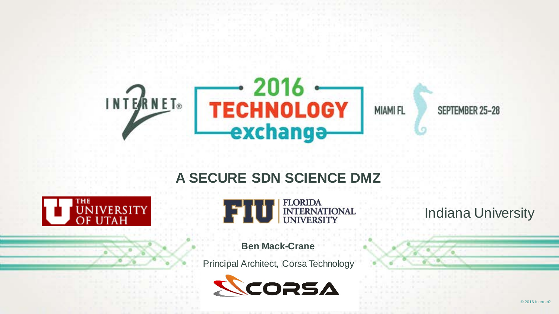

#### **A SECURE SDN SCIENCE DMZ**





#### **Ben Mack-Crane**

Principal Architect, Corsa Technology



Indiana University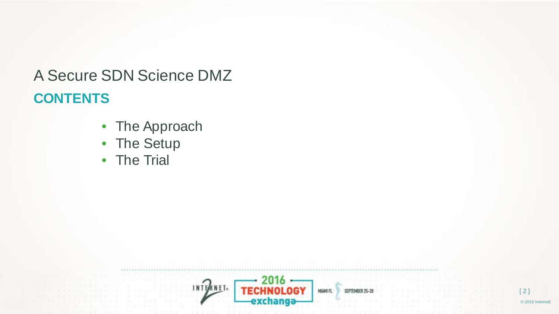#### **CONTENTS** A Secure SDN Science DMZ

- The Approach
- The Setup
- The Trial

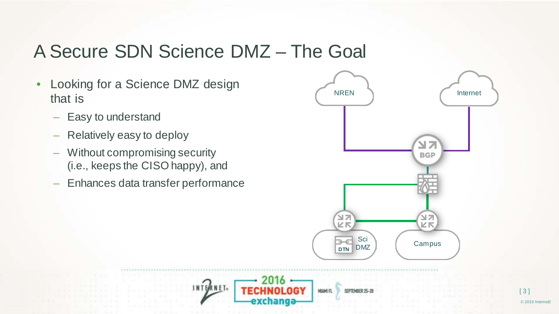#### A Secure SDN Science DMZ – The Goal

INTERNET-

- Looking for a Science DMZ design that is
	- Easy to understand
	- Relatively easy to deploy
	- Without compromising security (i.e., keeps the CISO happy), and
	- Enhances data transfer performance



HIAMI FL

exchanga

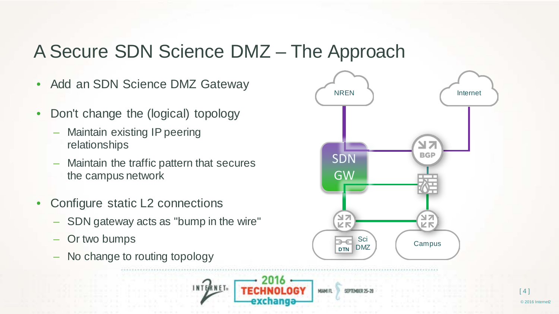#### A Secure SDN Science DMZ – The Approach

INTERNET-

- Add an SDN Science DMZ Gateway
- Don't change the (logical) topology
	- Maintain existing IP peering relationships
	- Maintain the traffic pattern that secures the campus network
- Configure static L2 connections
	- SDN gateway acts as "bump in the wire"
	- Or two bumps
	- No change to routing topology



**HIAMIFI**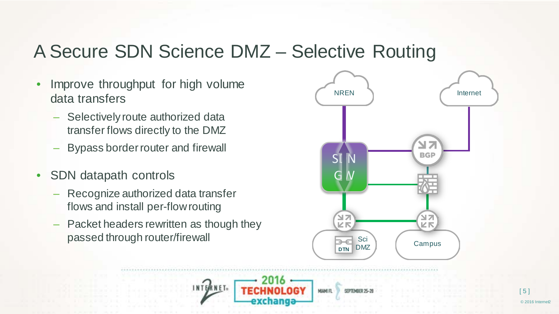#### A Secure SDN Science DMZ – Selective Routing

- Improve throughput for high volume data transfers
	- Selectively route authorized data transfer flows directly to the DMZ
	- Bypass border router and firewall
- SDN datapath controls
	- Recognize authorized data transfer flows and install per-flow routing
	- Packet headers rewritten as though they passed through router/firewall

INTERNET-



HIAMI FL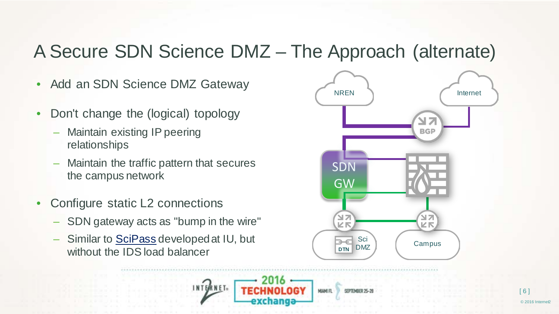#### A Secure SDN Science DMZ – The Approach (alternate)

- Add an SDN Science DMZ Gateway
- Don't change the (logical) topology
	- Maintain existing IP peering relationships
	- Maintain the traffic pattern that secures the campus network
- Configure static L2 connections
	- SDN gateway acts as "bump in the wire"
	- Similar to **SciPass** developed at IU, but without the IDS load balancer

INTERNET-



**FLIANIN**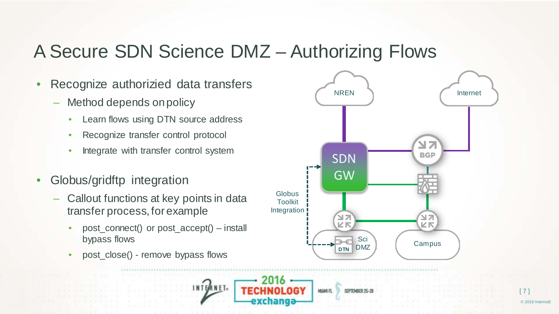#### A Secure SDN Science DMZ – Authorizing Flows

- Recognize authorizied data transfers
	- Method depends on policy
		- Learn flows using DTN source address
		- Recognize transfer control protocol
		- Integrate with transfer control system
- Globus/gridftp integration
	- Callout functions at key points in data transfer process, for example
		- post\_connect() or post\_accept() install bypass flows

INTERNET-

• post\_close() - remove bypass flows



**MIAMI FL**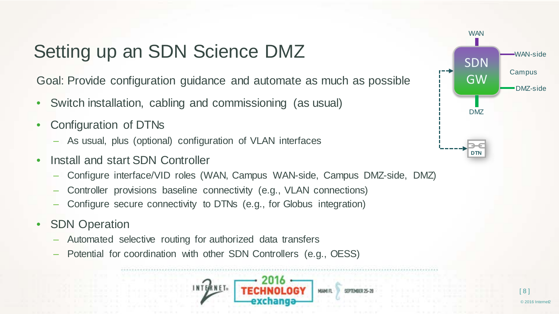### Setting up an SDN Science DMZ

Goal: Provide configuration guidance and automate as much as possible

- Switch installation, cabling and commissioning (as usual)
- Configuration of DTNs
	- As usual, plus (optional) configuration of VLAN interfaces
- Install and start SDN Controller
	- Configure interface/VID roles (WAN, Campus WAN-side, Campus DMZ-side, DMZ)
	- Controller provisions baseline connectivity (e.g., VLAN connections)
	- Configure secure connectivity to DTNs (e.g., for Globus integration)
- SDN Operation
	- Automated selective routing for authorized data transfers
	- Potential for coordination with other SDN Controllers (e.g., OESS)



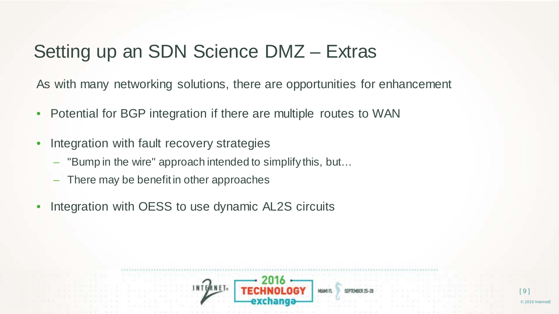#### Setting up an SDN Science DMZ – Extras

As with many networking solutions, there are opportunities for enhancement

- Potential for BGP integration if there are multiple routes to WAN
- Integration with fault recovery strategies
	- "Bump in the wire" approach intended to simplify this, but…
	- There may be benefit in other approaches
- Integration with OESS to use dynamic AL2S circuits

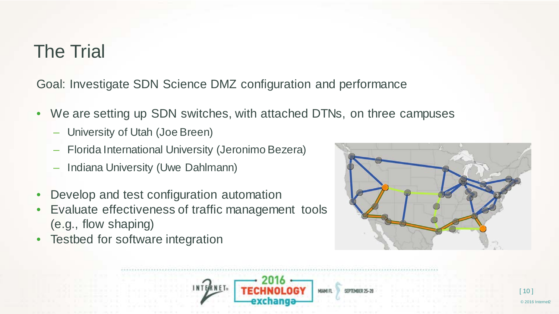#### The Trial

Goal: Investigate SDN Science DMZ configuration and performance

- We are setting up SDN switches, with attached DTNs, on three campuses
	- University of Utah (Joe Breen)
	- Florida International University (Jeronimo Bezera)
	- Indiana University (Uwe Dahlmann)
- Develop and test configuration automation
- Evaluate effectiveness of traffic management tools (e.g., flow shaping)
- Testbed for software integration



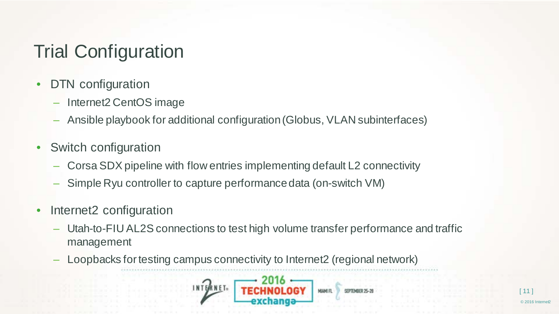# Trial Configuration

- DTN configuration
	- Internet2 CentOS image
	- Ansible playbook for additional configuration (Globus, VLAN subinterfaces)
- Switch configuration
	- Corsa SDX pipeline with flow entries implementing default L2 connectivity
	- Simple Ryu controller to capture performance data (on-switch VM)
- Internet<sub>2</sub> configuration
	- Utah-to-FIU AL2S connections to test high volume transfer performance and traffic management
	- Loopbacks for testing campus connectivity to Internet2 (regional network)

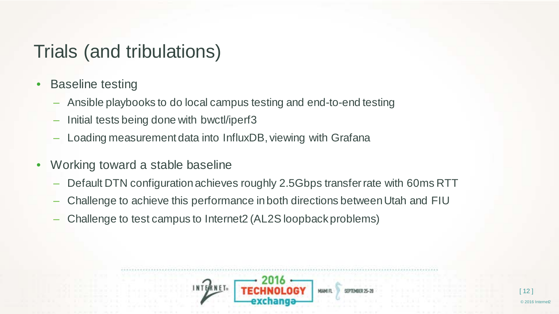#### Trials (and tribulations)

- Baseline testing
	- Ansible playbooks to do local campus testing and end-to-end testing
	- Initial tests being done with bwctl/iperf3
	- Loading measurement data into InfluxDB, viewing with Grafana
- Working toward a stable baseline
	- Default DTN configuration achieves roughly 2.5Gbps transfer rate with 60ms RTT
	- Challenge to achieve this performance in both directions between Utah and FIU
	- Challenge to test campus to Internet2 (AL2S loopback problems)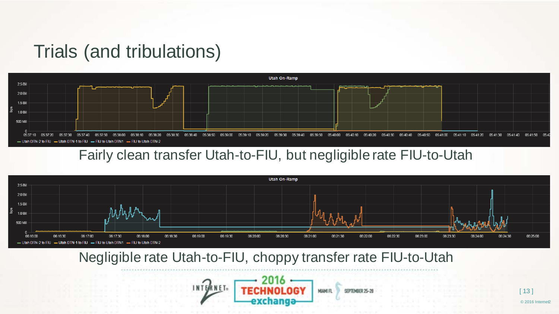#### Trials (and tribulations)



#### Fairly clean transfer Utah-to-FIU, but negligible rate FIU-to-Utah



Negligible rate Utah-to-FIU, choppy transfer rate FIU-to-Utah

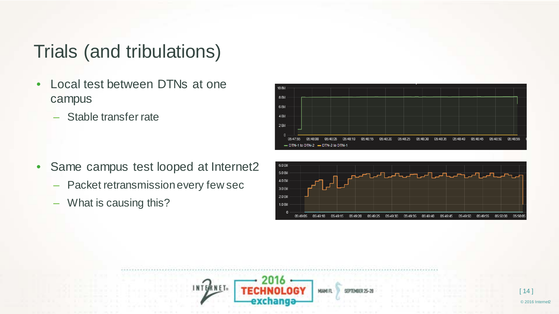#### Trials (and tribulations)

- Local test between DTNs at one campus
	- Stable transfer rate



- Same campus test looped at Internet2
	- Packet retransmission every few sec
	- What is causing this?